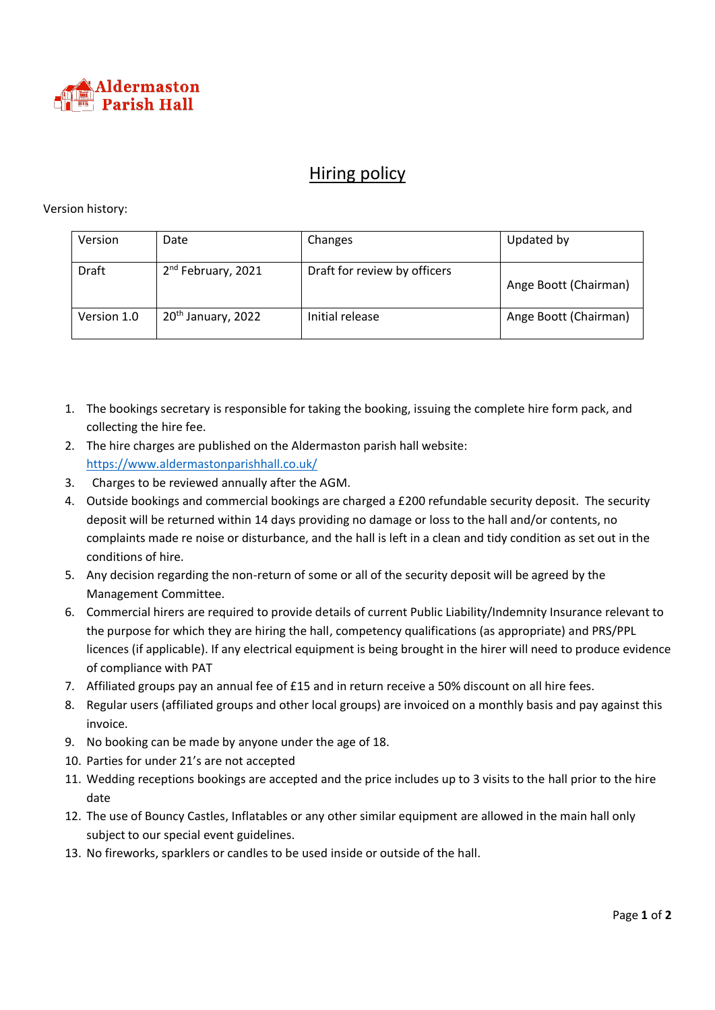

## Hiring policy

## Version history:

| Version     | Date                           | Changes                      | Updated by            |
|-------------|--------------------------------|------------------------------|-----------------------|
| Draft       | 2 <sup>nd</sup> February, 2021 | Draft for review by officers | Ange Boott (Chairman) |
| Version 1.0 | 20 <sup>th</sup> January, 2022 | Initial release              | Ange Boott (Chairman) |

- 1. The bookings secretary is responsible for taking the booking, issuing the complete hire form pack, and collecting the hire fee.
- 2. The hire charges are published on the Aldermaston parish hall website: <https://www.aldermastonparishhall.co.uk/>
- 3. Charges to be reviewed annually after the AGM.
- 4. Outside bookings and commercial bookings are charged a £200 refundable security deposit. The security deposit will be returned within 14 days providing no damage or loss to the hall and/or contents, no complaints made re noise or disturbance, and the hall is left in a clean and tidy condition as set out in the conditions of hire.
- 5. Any decision regarding the non-return of some or all of the security deposit will be agreed by the Management Committee.
- 6. Commercial hirers are required to provide details of current Public Liability/Indemnity Insurance relevant to the purpose for which they are hiring the hall, competency qualifications (as appropriate) and PRS/PPL licences (if applicable). If any electrical equipment is being brought in the hirer will need to produce evidence of compliance with PAT
- 7. Affiliated groups pay an annual fee of £15 and in return receive a 50% discount on all hire fees.
- 8. Regular users (affiliated groups and other local groups) are invoiced on a monthly basis and pay against this invoice.
- 9. No booking can be made by anyone under the age of 18.
- 10. Parties for under 21's are not accepted
- 11. Wedding receptions bookings are accepted and the price includes up to 3 visits to the hall prior to the hire date
- 12. The use of Bouncy Castles, Inflatables or any other similar equipment are allowed in the main hall only subject to our special event guidelines.
- 13. No fireworks, sparklers or candles to be used inside or outside of the hall.